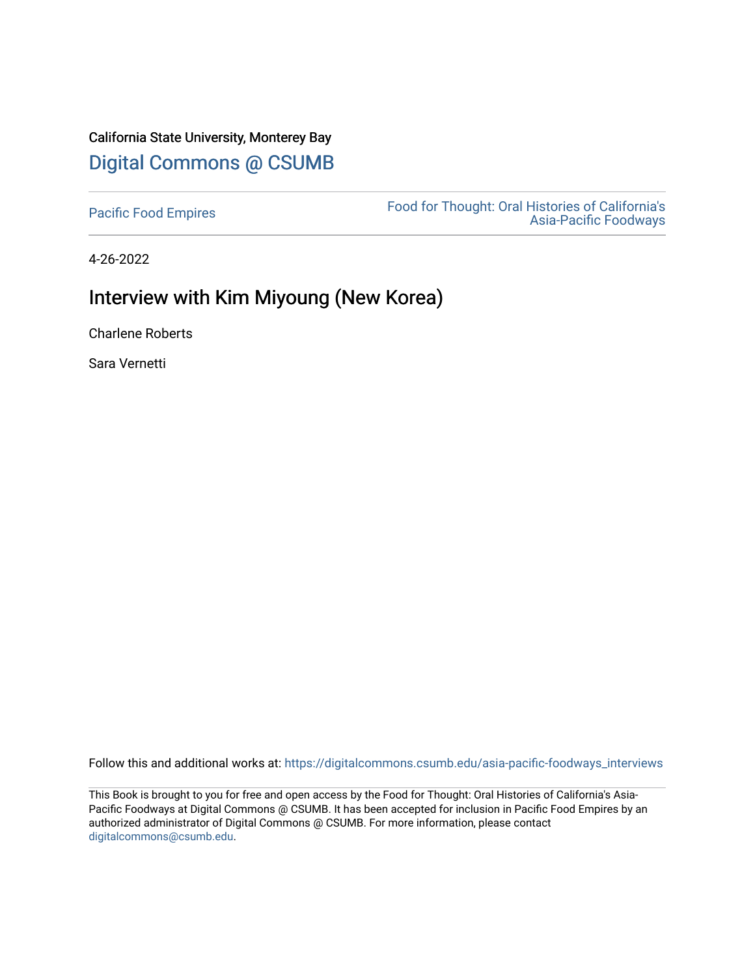## California State University, Monterey Bay [Digital Commons @ CSUMB](https://digitalcommons.csumb.edu/)

[Pacific Food Empires](https://digitalcommons.csumb.edu/asia-pacific-foodways_interviews) Food for Thought: Oral Histories of California's [Asia-Pacific Foodways](https://digitalcommons.csumb.edu/asia-pacific-foodways) 

4-26-2022

## Interview with Kim Miyoung (New Korea)

Charlene Roberts

Sara Vernetti

Follow this and additional works at: [https://digitalcommons.csumb.edu/asia-pacific-foodways\\_interviews](https://digitalcommons.csumb.edu/asia-pacific-foodways_interviews?utm_source=digitalcommons.csumb.edu%2Fasia-pacific-foodways_interviews%2F17&utm_medium=PDF&utm_campaign=PDFCoverPages) 

This Book is brought to you for free and open access by the Food for Thought: Oral Histories of California's Asia-Pacific Foodways at Digital Commons @ CSUMB. It has been accepted for inclusion in Pacific Food Empires by an authorized administrator of Digital Commons @ CSUMB. For more information, please contact [digitalcommons@csumb.edu](mailto:digitalcommons@csumb.edu).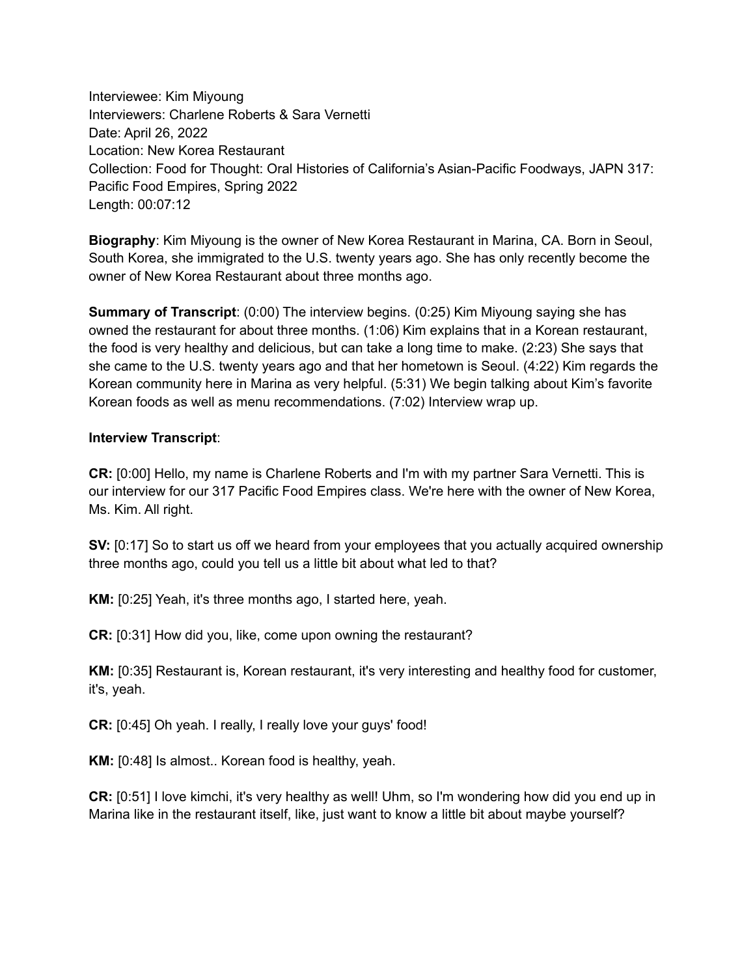Interviewee: Kim Miyoung Interviewers: Charlene Roberts & Sara Vernetti Date: April 26, 2022 Location: New Korea Restaurant Collection: Food for Thought: Oral Histories of California's Asian-Pacific Foodways, JAPN 317: Pacific Food Empires, Spring 2022 Length: 00:07:12

**Biography**: Kim Miyoung is the owner of New Korea Restaurant in Marina, CA. Born in Seoul, South Korea, she immigrated to the U.S. twenty years ago. She has only recently become the owner of New Korea Restaurant about three months ago.

**Summary of Transcript**: (0:00) The interview begins. (0:25) Kim Miyoung saying she has owned the restaurant for about three months. (1:06) Kim explains that in a Korean restaurant, the food is very healthy and delicious, but can take a long time to make. (2:23) She says that she came to the U.S. twenty years ago and that her hometown is Seoul. (4:22) Kim regards the Korean community here in Marina as very helpful. (5:31) We begin talking about Kim's favorite Korean foods as well as menu recommendations. (7:02) Interview wrap up.

## **Interview Transcript**:

**CR:** [0:00] Hello, my name is Charlene Roberts and I'm with my partner Sara Vernetti. This is our interview for our 317 Pacific Food Empires class. We're here with the owner of New Korea, Ms. Kim. All right.

**SV:** [0:17] So to start us off we heard from your employees that you actually acquired ownership three months ago, could you tell us a little bit about what led to that?

**KM:** [0:25] Yeah, it's three months ago, I started here, yeah.

**CR:** [0:31] How did you, like, come upon owning the restaurant?

**KM:** [0:35] Restaurant is, Korean restaurant, it's very interesting and healthy food for customer, it's, yeah.

**CR:** [0:45] Oh yeah. I really, I really love your guys' food!

**KM:** [0:48] Is almost.. Korean food is healthy, yeah.

**CR:** [0:51] I love kimchi, it's very healthy as well! Uhm, so I'm wondering how did you end up in Marina like in the restaurant itself, like, just want to know a little bit about maybe yourself?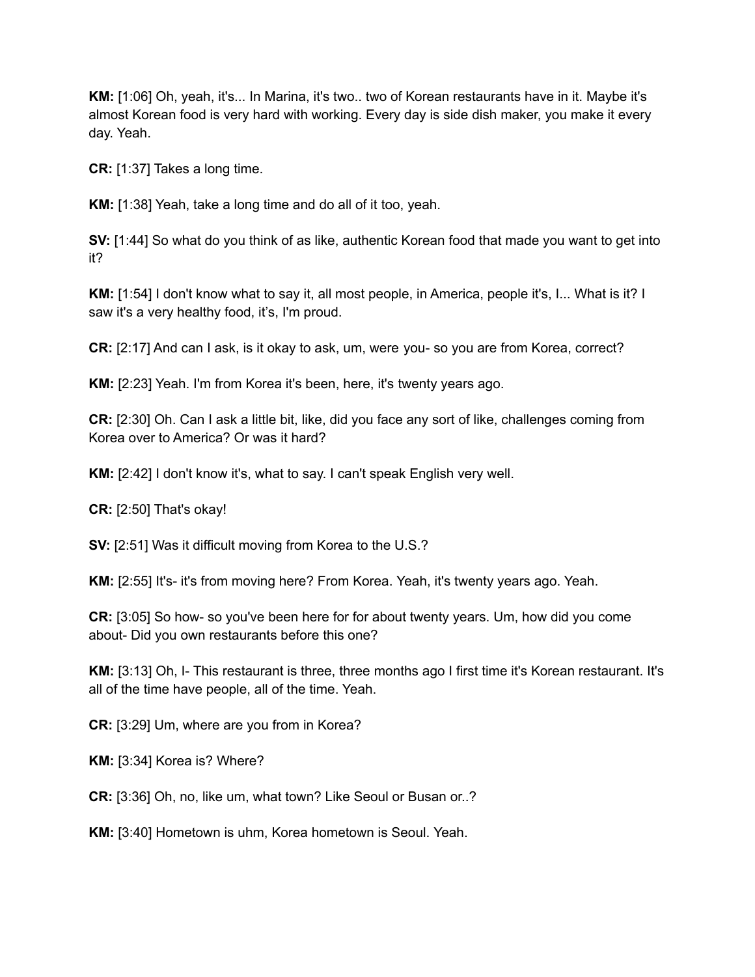**KM:** [1:06] Oh, yeah, it's... In Marina, it's two.. two of Korean restaurants have in it. Maybe it's almost Korean food is very hard with working. Every day is side dish maker, you make it every day. Yeah.

**CR:** [1:37] Takes a long time.

**KM:** [1:38] Yeah, take a long time and do all of it too, yeah.

**SV:** [1:44] So what do you think of as like, authentic Korean food that made you want to get into it?

**KM:** [1:54] I don't know what to say it, all most people, in America, people it's, I... What is it? I saw it's a very healthy food, it's, I'm proud.

**CR:** [2:17] And can I ask, is it okay to ask, um, were you- so you are from Korea, correct?

**KM:** [2:23] Yeah. I'm from Korea it's been, here, it's twenty years ago.

**CR:** [2:30] Oh. Can I ask a little bit, like, did you face any sort of like, challenges coming from Korea over to America? Or was it hard?

**KM:** [2:42] I don't know it's, what to say. I can't speak English very well.

**CR:** [2:50] That's okay!

**SV:** [2:51] Was it difficult moving from Korea to the U.S.?

**KM:** [2:55] It's- it's from moving here? From Korea. Yeah, it's twenty years ago. Yeah.

**CR:** [3:05] So how- so you've been here for for about twenty years. Um, how did you come about- Did you own restaurants before this one?

**KM:** [3:13] Oh, I- This restaurant is three, three months ago I first time it's Korean restaurant. It's all of the time have people, all of the time. Yeah.

**CR:** [3:29] Um, where are you from in Korea?

**KM:** [3:34] Korea is? Where?

**CR:** [3:36] Oh, no, like um, what town? Like Seoul or Busan or..?

**KM:** [3:40] Hometown is uhm, Korea hometown is Seoul. Yeah.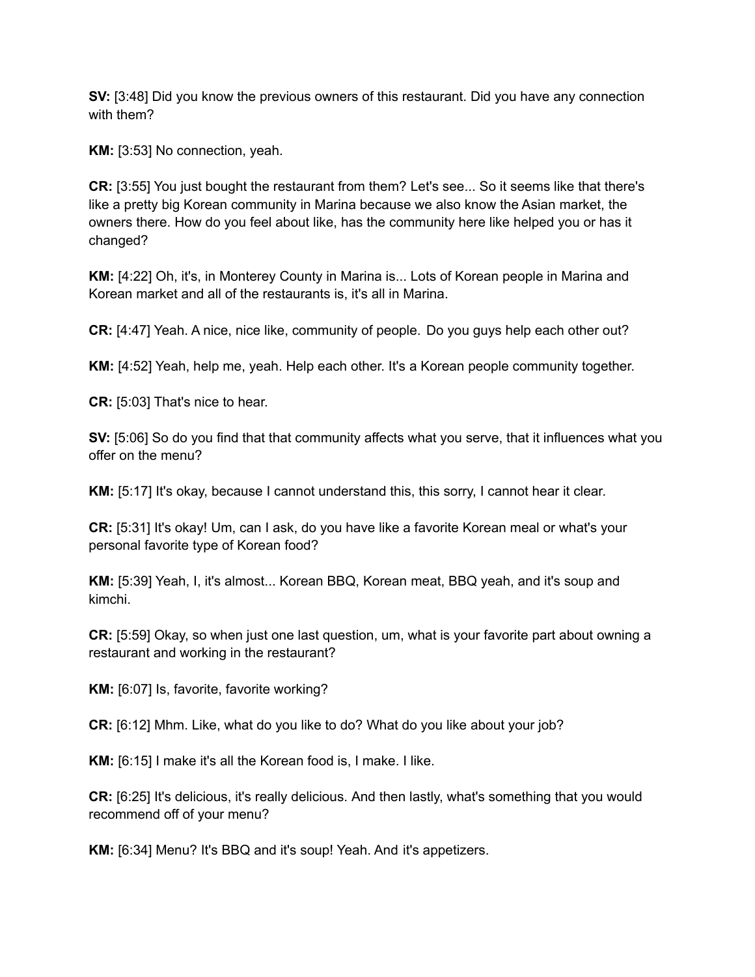**SV:** [3:48] Did you know the previous owners of this restaurant. Did you have any connection with them?

**KM:** [3:53] No connection, yeah.

**CR:** [3:55] You just bought the restaurant from them? Let's see... So it seems like that there's like a pretty big Korean community in Marina because we also know the Asian market, the owners there. How do you feel about like, has the community here like helped you or has it changed?

**KM:** [4:22] Oh, it's, in Monterey County in Marina is... Lots of Korean people in Marina and Korean market and all of the restaurants is, it's all in Marina.

**CR:** [4:47] Yeah. A nice, nice like, community of people. Do you guys help each other out?

**KM:** [4:52] Yeah, help me, yeah. Help each other. It's a Korean people community together.

**CR:** [5:03] That's nice to hear.

**SV:** [5:06] So do you find that that community affects what you serve, that it influences what you offer on the menu?

**KM:** [5:17] It's okay, because I cannot understand this, this sorry, I cannot hear it clear.

**CR:** [5:31] It's okay! Um, can I ask, do you have like a favorite Korean meal or what's your personal favorite type of Korean food?

**KM:** [5:39] Yeah, I, it's almost... Korean BBQ, Korean meat, BBQ yeah, and it's soup and kimchi.

**CR:** [5:59] Okay, so when just one last question, um, what is your favorite part about owning a restaurant and working in the restaurant?

**KM:** [6:07] Is, favorite, favorite working?

**CR:** [6:12] Mhm. Like, what do you like to do? What do you like about your job?

**KM:** [6:15] I make it's all the Korean food is, I make. I like.

**CR:** [6:25] It's delicious, it's really delicious. And then lastly, what's something that you would recommend off of your menu?

**KM:** [6:34] Menu? It's BBQ and it's soup! Yeah. And it's appetizers.